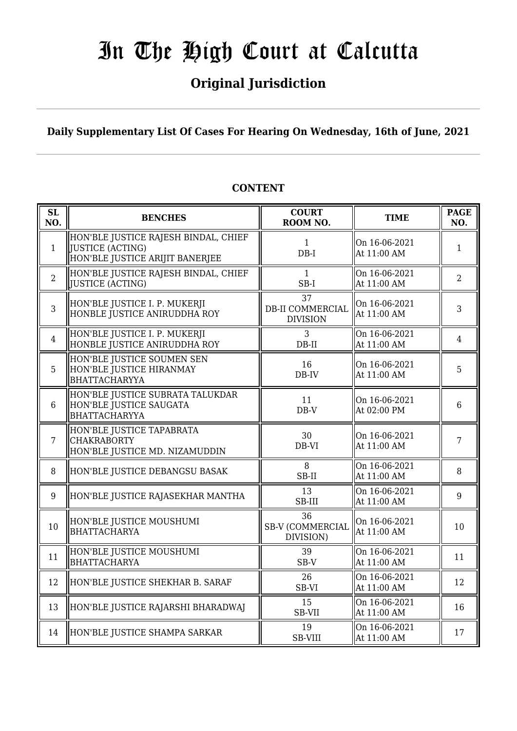## **Original Jurisdiction**

**Daily Supplementary List Of Cases For Hearing On Wednesday, 16th of June, 2021**

| <b>SL</b><br>NO. | <b>BENCHES</b>                                                                                     | <b>COURT</b><br>ROOM NO.                         | <b>TIME</b>                  | <b>PAGE</b><br>NO. |
|------------------|----------------------------------------------------------------------------------------------------|--------------------------------------------------|------------------------------|--------------------|
| $\mathbf{1}$     | HON'BLE JUSTICE RAJESH BINDAL, CHIEF<br><b>JUSTICE (ACTING)</b><br>HON'BLE JUSTICE ARIJIT BANERJEE | $\mathbf{1}$<br>$DB-I$                           | On 16-06-2021<br>At 11:00 AM | $\mathbf{1}$       |
| $\overline{2}$   | HON'BLE JUSTICE RAJESH BINDAL, CHIEF<br>JUSTICE (ACTING)                                           | $\mathbf{1}$<br>$SB-I$                           | On 16-06-2021<br>At 11:00 AM | $\overline{2}$     |
| 3                | HON'BLE JUSTICE I. P. MUKERJI<br>HONBLE JUSTICE ANIRUDDHA ROY                                      | 37<br><b>DB-II COMMERCIAL</b><br><b>DIVISION</b> | On 16-06-2021<br>At 11:00 AM | 3                  |
| 4                | HON'BLE JUSTICE I. P. MUKERJI<br>HONBLE JUSTICE ANIRUDDHA ROY                                      | 3<br>$DB-II$                                     | On 16-06-2021<br>At 11:00 AM | $\overline{4}$     |
| 5                | HON'BLE JUSTICE SOUMEN SEN<br>HON'BLE JUSTICE HIRANMAY<br><b>BHATTACHARYYA</b>                     | 16<br>DB-IV                                      | On 16-06-2021<br>At 11:00 AM | 5                  |
| 6                | HON'BLE JUSTICE SUBRATA TALUKDAR<br>HON'BLE JUSTICE SAUGATA<br><b>BHATTACHARYYA</b>                | 11<br>$DB-V$                                     | On 16-06-2021<br>At 02:00 PM | $6\phantom{1}6$    |
| $\overline{7}$   | HON'BLE JUSTICE TAPABRATA<br><b>CHAKRABORTY</b><br>HON'BLE JUSTICE MD. NIZAMUDDIN                  | 30<br>DB-VI                                      | On 16-06-2021<br>At 11:00 AM | $\overline{7}$     |
| 8                | HON'BLE JUSTICE DEBANGSU BASAK                                                                     | 8<br>SB-II                                       | On 16-06-2021<br>At 11:00 AM | 8                  |
| 9                | HON'BLE JUSTICE RAJASEKHAR MANTHA                                                                  | 13<br>SB-III                                     | On 16-06-2021<br>At 11:00 AM | 9                  |
| 10               | HON'BLE JUSTICE MOUSHUMI<br><b>BHATTACHARYA</b>                                                    | 36<br><b>SB-V (COMMERCIAL</b><br>DIVISION)       | On 16-06-2021<br>At 11:00 AM | 10                 |
| 11               | HON'BLE JUSTICE MOUSHUMI<br><b>BHATTACHARYA</b>                                                    | 39<br>SB-V                                       | On 16-06-2021<br>At 11:00 AM | 11                 |
| 12               | HON'BLE JUSTICE SHEKHAR B. SARAF                                                                   | 26<br>SB-VI                                      | On 16-06-2021<br>At 11:00 AM | 12                 |
| 13               | HON'BLE JUSTICE RAJARSHI BHARADWAJ                                                                 | 15<br>SB-VII                                     | On 16-06-2021<br>At 11:00 AM | 16                 |
| 14               | HON'BLE JUSTICE SHAMPA SARKAR                                                                      | 19<br><b>SB-VIII</b>                             | On 16-06-2021<br>At 11:00 AM | 17                 |

### **CONTENT**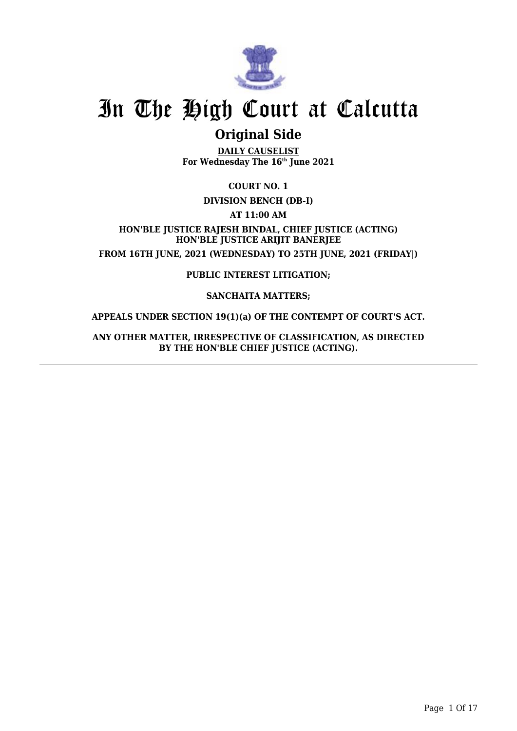

## **Original Side**

**DAILY CAUSELIST For Wednesday The 16th June 2021**

**COURT NO. 1**

### **DIVISION BENCH (DB-I)**

**AT 11:00 AM**

**HON'BLE JUSTICE RAJESH BINDAL, CHIEF JUSTICE (ACTING) HON'BLE JUSTICE ARIJIT BANERJEE FROM 16TH JUNE, 2021 (WEDNESDAY) TO 25TH JUNE, 2021 (FRIDAY|)**

**PUBLIC INTEREST LITIGATION;**

#### **SANCHAITA MATTERS;**

### **APPEALS UNDER SECTION 19(1)(a) OF THE CONTEMPT OF COURT'S ACT.**

**ANY OTHER MATTER, IRRESPECTIVE OF CLASSIFICATION, AS DIRECTED BY THE HON'BLE CHIEF JUSTICE (ACTING).**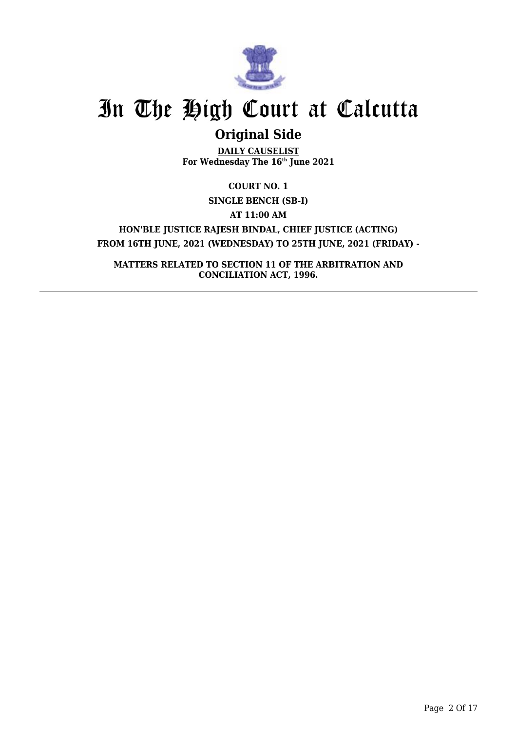

## **Original Side**

**DAILY CAUSELIST For Wednesday The 16th June 2021**

**COURT NO. 1 SINGLE BENCH (SB-I) AT 11:00 AM HON'BLE JUSTICE RAJESH BINDAL, CHIEF JUSTICE (ACTING) FROM 16TH JUNE, 2021 (WEDNESDAY) TO 25TH JUNE, 2021 (FRIDAY) -**

**MATTERS RELATED TO SECTION 11 OF THE ARBITRATION AND CONCILIATION ACT, 1996.**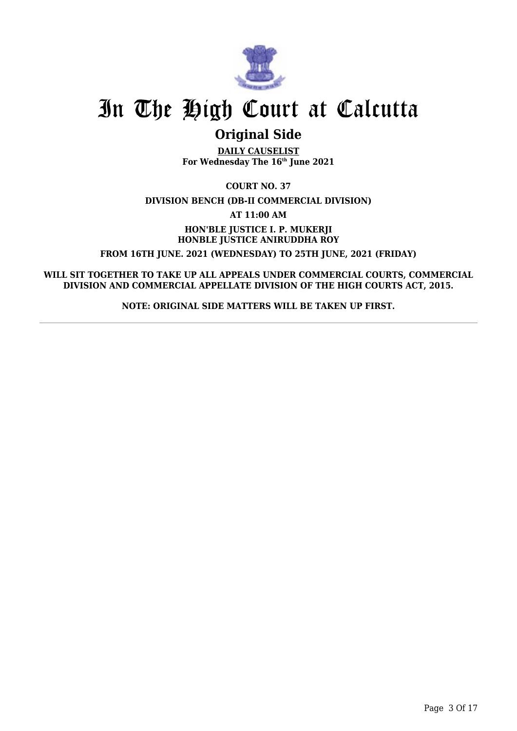

## **Original Side**

**DAILY CAUSELIST For Wednesday The 16th June 2021**

**COURT NO. 37 DIVISION BENCH (DB-II COMMERCIAL DIVISION)**

**AT 11:00 AM**

**HON'BLE JUSTICE I. P. MUKERJI HONBLE JUSTICE ANIRUDDHA ROY FROM 16TH JUNE. 2021 (WEDNESDAY) TO 25TH JUNE, 2021 (FRIDAY)**

**WILL SIT TOGETHER TO TAKE UP ALL APPEALS UNDER COMMERCIAL COURTS, COMMERCIAL DIVISION AND COMMERCIAL APPELLATE DIVISION OF THE HIGH COURTS ACT, 2015.**

**NOTE: ORIGINAL SIDE MATTERS WILL BE TAKEN UP FIRST.**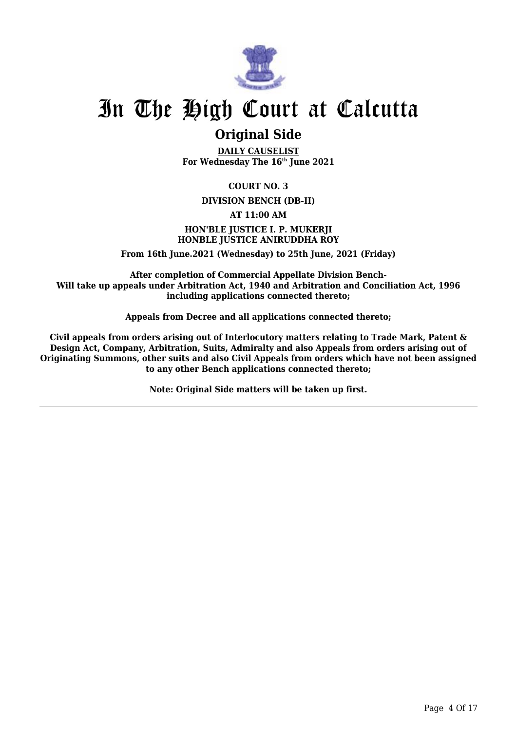

## **Original Side**

**DAILY CAUSELIST For Wednesday The 16th June 2021**

### **COURT NO. 3**

#### **DIVISION BENCH (DB-II)**

#### **AT 11:00 AM**

### **HON'BLE JUSTICE I. P. MUKERJI HONBLE JUSTICE ANIRUDDHA ROY**

**From 16th June.2021 (Wednesday) to 25th June, 2021 (Friday)**

**After completion of Commercial Appellate Division Bench-Will take up appeals under Arbitration Act, 1940 and Arbitration and Conciliation Act, 1996 including applications connected thereto;**

**Appeals from Decree and all applications connected thereto;**

**Civil appeals from orders arising out of Interlocutory matters relating to Trade Mark, Patent & Design Act, Company, Arbitration, Suits, Admiralty and also Appeals from orders arising out of Originating Summons, other suits and also Civil Appeals from orders which have not been assigned to any other Bench applications connected thereto;**

**Note: Original Side matters will be taken up first.**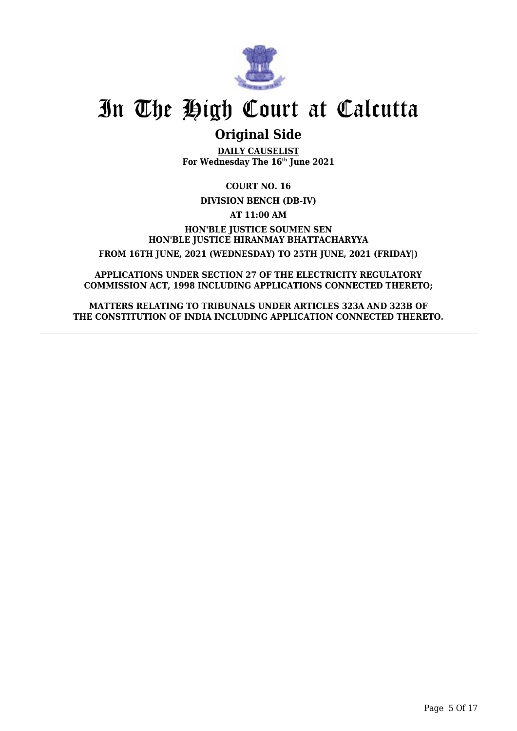

## **Original Side**

**DAILY CAUSELIST For Wednesday The 16th June 2021**

**COURT NO. 16**

**DIVISION BENCH (DB-IV)**

**AT 11:00 AM**

**HON'BLE JUSTICE SOUMEN SEN HON'BLE JUSTICE HIRANMAY BHATTACHARYYA FROM 16TH JUNE, 2021 (WEDNESDAY) TO 25TH JUNE, 2021 (FRIDAY|)**

**APPLICATIONS UNDER SECTION 27 OF THE ELECTRICITY REGULATORY COMMISSION ACT, 1998 INCLUDING APPLICATIONS CONNECTED THERETO;**

**MATTERS RELATING TO TRIBUNALS UNDER ARTICLES 323A AND 323B OF THE CONSTITUTION OF INDIA INCLUDING APPLICATION CONNECTED THERETO.**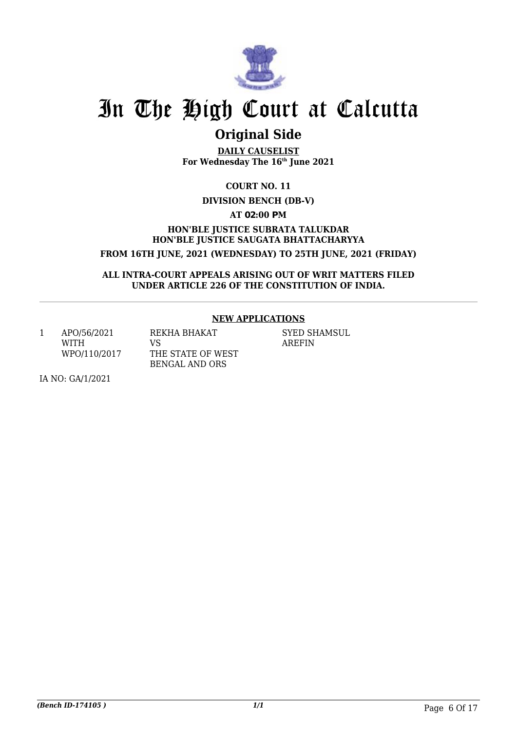

## **Original Side**

**DAILY CAUSELIST For Wednesday The 16th June 2021**

**COURT NO. 11**

### **DIVISION BENCH (DB-V)**

**AT 02:00 PM**

**HON'BLE JUSTICE SUBRATA TALUKDAR HON'BLE JUSTICE SAUGATA BHATTACHARYYA FROM 16TH JUNE, 2021 (WEDNESDAY) TO 25TH JUNE, 2021 (FRIDAY)**

**ALL INTRA-COURT APPEALS ARISING OUT OF WRIT MATTERS FILED UNDER ARTICLE 226 OF THE CONSTITUTION OF INDIA.**

### **NEW APPLICATIONS**

1 APO/56/2021 WITH WPO/110/2017 REKHA BHAKAT VS

THE STATE OF WEST BENGAL AND ORS

SYED SHAMSUL AREFIN

IA NO: GA/1/2021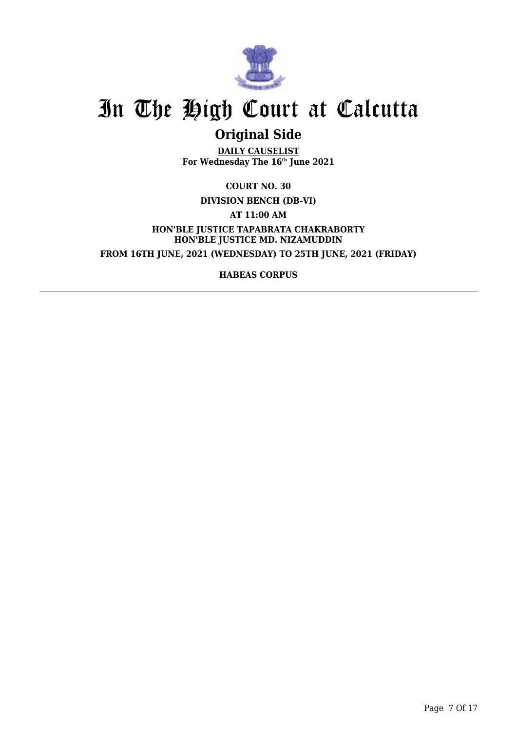

## **Original Side**

**DAILY CAUSELIST For Wednesday The 16th June 2021**

**COURT NO. 30**

**DIVISION BENCH (DB-VI)**

**AT 11:00 AM**

**HON'BLE JUSTICE TAPABRATA CHAKRABORTY HON'BLE JUSTICE MD. NIZAMUDDIN FROM 16TH JUNE, 2021 (WEDNESDAY) TO 25TH JUNE, 2021 (FRIDAY)**

**HABEAS CORPUS**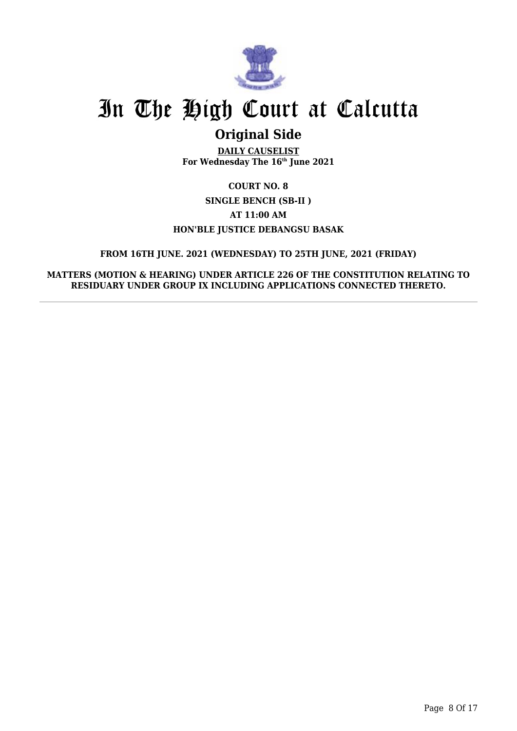

## **Original Side**

**DAILY CAUSELIST For Wednesday The 16th June 2021**

### **COURT NO. 8 SINGLE BENCH (SB-II ) AT 11:00 AM HON'BLE JUSTICE DEBANGSU BASAK**

### **FROM 16TH JUNE. 2021 (WEDNESDAY) TO 25TH JUNE, 2021 (FRIDAY)**

**MATTERS (MOTION & HEARING) UNDER ARTICLE 226 OF THE CONSTITUTION RELATING TO RESIDUARY UNDER GROUP IX INCLUDING APPLICATIONS CONNECTED THERETO.**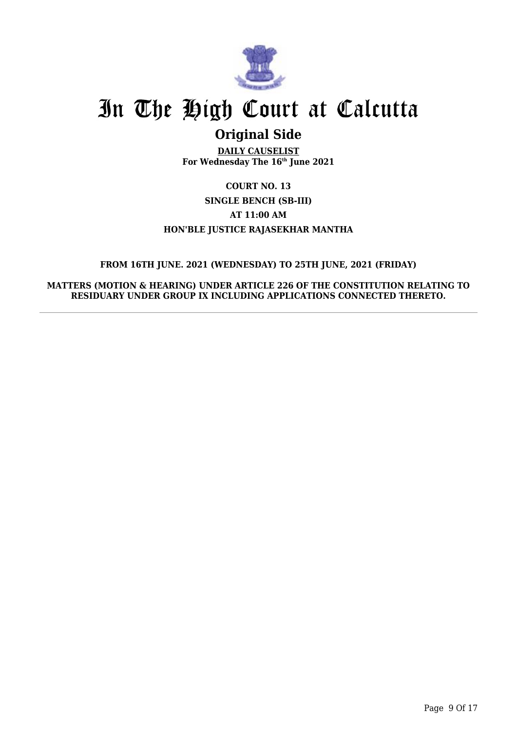

## **Original Side**

**DAILY CAUSELIST For Wednesday The 16th June 2021**

**COURT NO. 13 SINGLE BENCH (SB-III) AT 11:00 AM HON'BLE JUSTICE RAJASEKHAR MANTHA**

### **FROM 16TH JUNE. 2021 (WEDNESDAY) TO 25TH JUNE, 2021 (FRIDAY)**

**MATTERS (MOTION & HEARING) UNDER ARTICLE 226 OF THE CONSTITUTION RELATING TO RESIDUARY UNDER GROUP IX INCLUDING APPLICATIONS CONNECTED THERETO.**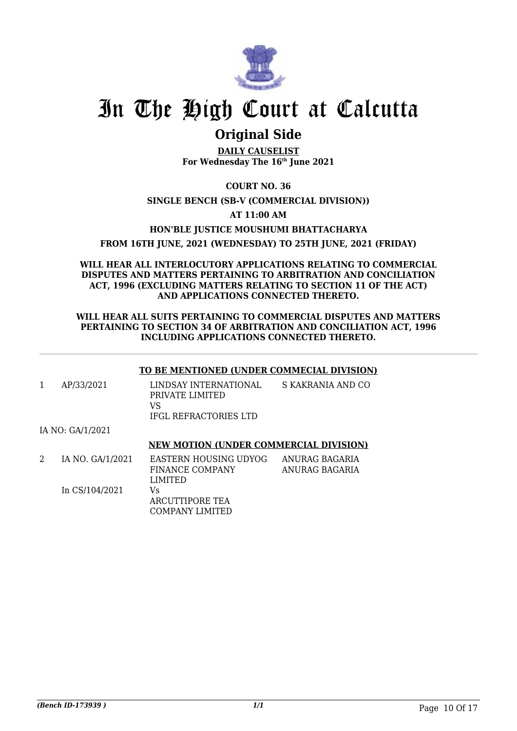

## **Original Side**

**DAILY CAUSELIST For Wednesday The 16th June 2021**

### **COURT NO. 36**

### **SINGLE BENCH (SB-V (COMMERCIAL DIVISION))**

### **AT 11:00 AM**

### **HON'BLE JUSTICE MOUSHUMI BHATTACHARYA**

### **FROM 16TH JUNE, 2021 (WEDNESDAY) TO 25TH JUNE, 2021 (FRIDAY)**

#### **WILL HEAR ALL INTERLOCUTORY APPLICATIONS RELATING TO COMMERCIAL DISPUTES AND MATTERS PERTAINING TO ARBITRATION AND CONCILIATION ACT, 1996 (EXCLUDING MATTERS RELATING TO SECTION 11 OF THE ACT) AND APPLICATIONS CONNECTED THERETO.**

#### **WILL HEAR ALL SUITS PERTAINING TO COMMERCIAL DISPUTES AND MATTERS PERTAINING TO SECTION 34 OF ARBITRATION AND CONCILIATION ACT, 1996 INCLUDING APPLICATIONS CONNECTED THERETO.**

#### **TO BE MENTIONED (UNDER COMMECIAL DIVISION)**

| AP/33/2021 | LINDSAY INTERNATIONAL<br>PRIVATE LIMITED | S KAKRANIA AND CO |
|------------|------------------------------------------|-------------------|
|            | VS<br>IFGL REFRACTORIES LTD              |                   |

#### IA NO: GA/1/2021

#### **NEW MOTION (UNDER COMMERCIAL DIVISION)**

| IA NO. GA/1/2021 | EASTERN HOUSING UDYOG | ANURAG BAGARIA |
|------------------|-----------------------|----------------|
|                  | FINANCE COMPANY       | ANURAG BAGARIA |
|                  | LIMITED               |                |
| In CS/104/2021   | Vs                    |                |
|                  | ARCUTTIPORE TEA       |                |
|                  | COMPANY LIMITED       |                |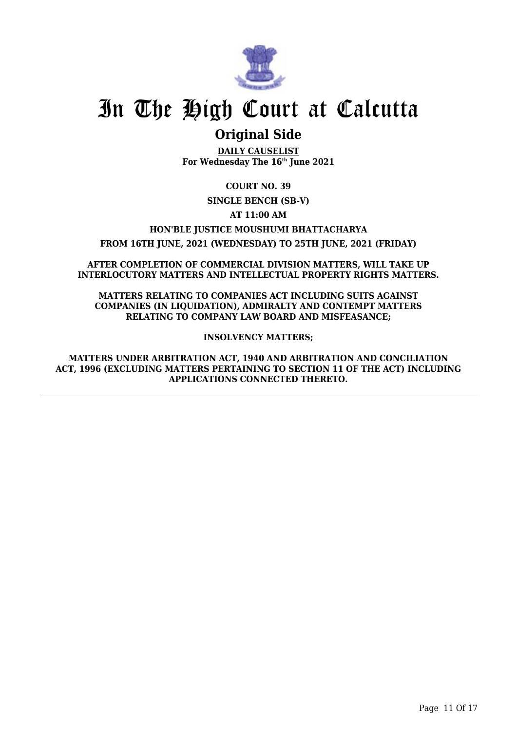

## **Original Side**

**DAILY CAUSELIST For Wednesday The 16th June 2021**

**COURT NO. 39**

**SINGLE BENCH (SB-V)**

**AT 11:00 AM**

**HON'BLE JUSTICE MOUSHUMI BHATTACHARYA**

**FROM 16TH JUNE, 2021 (WEDNESDAY) TO 25TH JUNE, 2021 (FRIDAY)**

**AFTER COMPLETION OF COMMERCIAL DIVISION MATTERS, WILL TAKE UP INTERLOCUTORY MATTERS AND INTELLECTUAL PROPERTY RIGHTS MATTERS.**

**MATTERS RELATING TO COMPANIES ACT INCLUDING SUITS AGAINST COMPANIES (IN LIQUIDATION), ADMIRALTY AND CONTEMPT MATTERS RELATING TO COMPANY LAW BOARD AND MISFEASANCE;**

**INSOLVENCY MATTERS;**

**MATTERS UNDER ARBITRATION ACT, 1940 AND ARBITRATION AND CONCILIATION ACT, 1996 (EXCLUDING MATTERS PERTAINING TO SECTION 11 OF THE ACT) INCLUDING APPLICATIONS CONNECTED THERETO.**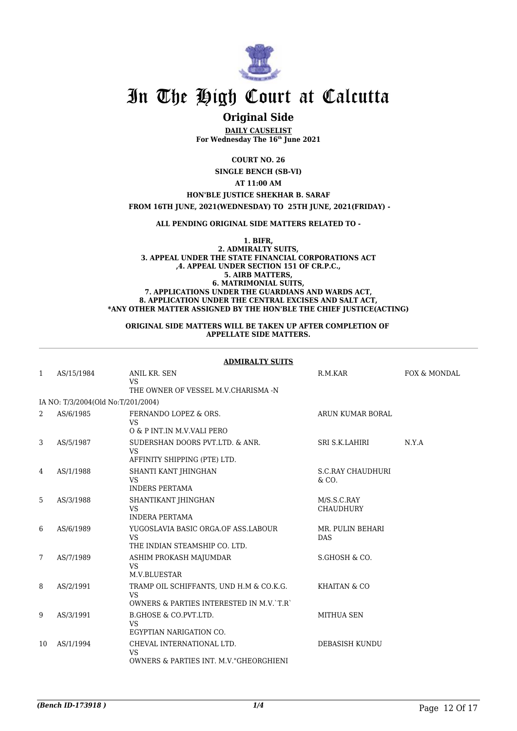

### **Original Side**

**DAILY CAUSELIST For Wednesday The 16th June 2021**

**COURT NO. 26**

**SINGLE BENCH (SB-VI)**

**AT 11:00 AM**

**HON'BLE JUSTICE SHEKHAR B. SARAF**

 **FROM 16TH JUNE, 2021(WEDNESDAY) TO 25TH JUNE, 2021(FRIDAY) -**

**ALL PENDING ORIGINAL SIDE MATTERS RELATED TO -**

**1. BIFR, 2. ADMIRALTY SUITS, 3. APPEAL UNDER THE STATE FINANCIAL CORPORATIONS ACT ,4. APPEAL UNDER SECTION 151 OF CR.P.C., 5. AIRB MATTERS, 6. MATRIMONIAL SUITS, 7. APPLICATIONS UNDER THE GUARDIANS AND WARDS ACT, 8. APPLICATION UNDER THE CENTRAL EXCISES AND SALT ACT, \*ANY OTHER MATTER ASSIGNED BY THE HON'BLE THE CHIEF JUSTICE(ACTING)**

#### **ORIGINAL SIDE MATTERS WILL BE TAKEN UP AFTER COMPLETION OF APPELLATE SIDE MATTERS.**

|              | <b>ADMIRALTY SUITS</b>             |                                                                                           |                                   |              |  |  |
|--------------|------------------------------------|-------------------------------------------------------------------------------------------|-----------------------------------|--------------|--|--|
| $\mathbf{1}$ | AS/15/1984                         | ANIL KR. SEN<br><b>VS</b><br>THE OWNER OF VESSEL M.V.CHARISMA -N                          | R.M.KAR                           | FOX & MONDAL |  |  |
|              | IA NO: T/3/2004(Old No:T/201/2004) |                                                                                           |                                   |              |  |  |
|              |                                    |                                                                                           |                                   |              |  |  |
| 2            | AS/6/1985                          | FERNANDO LOPEZ & ORS.<br><b>VS</b><br>O & P INT. IN M.V. VALI PERO                        | ARUN KUMAR BORAL                  |              |  |  |
| 3            | AS/5/1987                          | SUDERSHAN DOORS PVT.LTD. & ANR.<br><b>VS</b><br>AFFINITY SHIPPING (PTE) LTD.              | SRI S.K.LAHIRI                    | N.Y.A        |  |  |
| 4            | AS/1/1988                          | SHANTI KANT JHINGHAN<br><b>VS</b><br><b>INDERS PERTAMA</b>                                | <b>S.C.RAY CHAUDHURI</b><br>& CO. |              |  |  |
| 5            | AS/3/1988                          | SHANTIKANT JHINGHAN<br><b>VS</b><br><b>INDERA PERTAMA</b>                                 | M/S.S.C.RAY<br><b>CHAUDHURY</b>   |              |  |  |
| 6            | AS/6/1989                          | YUGOSLAVIA BASIC ORGA.OF ASS.LABOUR<br><b>VS</b><br>THE INDIAN STEAMSHIP CO. LTD.         | MR. PULIN BEHARI<br><b>DAS</b>    |              |  |  |
| 7            | AS/7/1989                          | ASHIM PROKASH MAJUMDAR<br><b>VS</b><br>M.V.BLUESTAR                                       | S.GHOSH & CO.                     |              |  |  |
| 8            | AS/2/1991                          | TRAMP OIL SCHIFFANTS, UND H.M & CO.K.G.<br>VS.<br>OWNERS & PARTIES INTERESTED IN M.V. T.R | KHAITAN & CO                      |              |  |  |
| 9            | AS/3/1991                          | B.GHOSE & CO.PVT.LTD.<br><b>VS</b><br>EGYPTIAN NARIGATION CO.                             | MITHUA SEN                        |              |  |  |
| 10           | AS/1/1994                          | CHEVAL INTERNATIONAL LTD.<br><b>VS</b><br>OWNERS & PARTIES INT. M.V. "GHEORGHIENI         | DEBASISH KUNDU                    |              |  |  |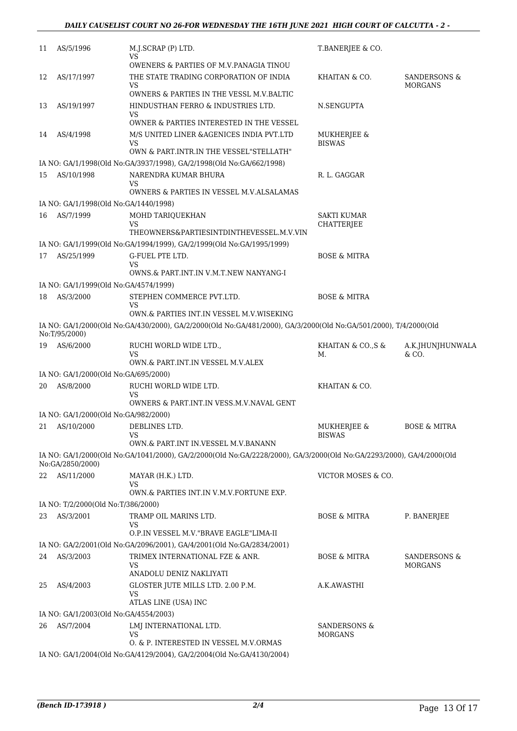| 11 | AS/5/1996                             | M.J.SCRAP (P) LTD.<br>VS                                                                                             | T.BANERJEE & CO.                          |                                |
|----|---------------------------------------|----------------------------------------------------------------------------------------------------------------------|-------------------------------------------|--------------------------------|
| 12 | AS/17/1997                            | <b>OWENERS &amp; PARTIES OF M.V.PANAGIA TINOU</b><br>THE STATE TRADING CORPORATION OF INDIA<br>VS                    | KHAITAN & CO.                             | SANDERSONS &<br><b>MORGANS</b> |
| 13 | AS/19/1997                            | OWNERS & PARTIES IN THE VESSL M.V.BALTIC<br>HINDUSTHAN FERRO & INDUSTRIES LTD.                                       | N.SENGUPTA                                |                                |
|    |                                       | VS<br>OWNER & PARTIES INTERESTED IN THE VESSEL                                                                       |                                           |                                |
| 14 | AS/4/1998                             | M/S UNITED LINER & AGENICES INDIA PVT.LTD<br>VS                                                                      | MUKHERJEE &<br><b>BISWAS</b>              |                                |
|    |                                       | OWN & PART.INTR.IN THE VESSEL"STELLATH"                                                                              |                                           |                                |
|    |                                       | IA NO: GA/1/1998(Old No:GA/3937/1998), GA/2/1998(Old No:GA/662/1998)                                                 |                                           |                                |
| 15 | AS/10/1998                            | NARENDRA KUMAR BHURA<br>VS<br>OWNERS & PARTIES IN VESSEL M.V.ALSALAMAS                                               | R. L. GAGGAR                              |                                |
|    | IA NO: GA/1/1998(Old No:GA/1440/1998) |                                                                                                                      |                                           |                                |
| 16 | AS/7/1999                             | MOHD TARIQUEKHAN<br>VS<br>THEOWNERS&PARTIESINTDINTHEVESSEL.M.V.VIN                                                   | SAKTI KUMAR<br><b>CHATTERJEE</b>          |                                |
|    |                                       | IA NO: GA/1/1999(Old No:GA/1994/1999), GA/2/1999(Old No:GA/1995/1999)                                                |                                           |                                |
| 17 | AS/25/1999                            | G-FUEL PTE LTD.<br>VS                                                                                                | <b>BOSE &amp; MITRA</b>                   |                                |
|    |                                       | OWNS.& PART.INT.IN V.M.T.NEW NANYANG-I                                                                               |                                           |                                |
|    | IA NO: GA/1/1999(Old No:GA/4574/1999) |                                                                                                                      |                                           |                                |
| 18 | AS/3/2000                             | STEPHEN COMMERCE PVT.LTD.<br>VS<br>OWN.& PARTIES INT.IN VESSEL M.V.WISEKING                                          | <b>BOSE &amp; MITRA</b>                   |                                |
|    | No:T/95/2000)                         | IA NO: GA/1/2000(Old No:GA/430/2000), GA/2/2000(Old No:GA/481/2000), GA/3/2000(Old No:GA/501/2000), T/4/2000(Old     |                                           |                                |
| 19 | AS/6/2000                             | RUCHI WORLD WIDE LTD.,<br>VS<br>OWN.& PART.INT.IN VESSEL M.V.ALEX                                                    | KHAITAN & CO., S &<br>М.                  | A.K.JHUNJHUNWALA<br>& CO.      |
|    | IA NO: GA/1/2000(Old No:GA/695/2000)  |                                                                                                                      |                                           |                                |
| 20 | AS/8/2000                             | RUCHI WORLD WIDE LTD.                                                                                                | KHAITAN & CO.                             |                                |
|    |                                       | VS<br>OWNERS & PART.INT.IN VESS.M.V.NAVAL GENT                                                                       |                                           |                                |
|    | IA NO: GA/1/2000(Old No:GA/982/2000)  |                                                                                                                      |                                           |                                |
|    | 21 AS/10/2000                         | DEBLINES LTD.<br>VS<br>OWN.& PART.INT IN.VESSEL M.V.BANANN                                                           | MUKHERJEE &<br><b>BISWAS</b>              | <b>BOSE &amp; MITRA</b>        |
|    |                                       | IA NO: GA/1/2000(Old No:GA/1041/2000), GA/2/2000(Old No:GA/2228/2000), GA/3/2000(Old No:GA/2293/2000), GA/4/2000(Old |                                           |                                |
|    | No:GA/2850/2000)                      |                                                                                                                      |                                           |                                |
|    | 22 AS/11/2000                         | MAYAR (H.K.) LTD.<br>VS                                                                                              | VICTOR MOSES & CO.                        |                                |
|    |                                       | OWN.& PARTIES INT.IN V.M.V.FORTUNE EXP.                                                                              |                                           |                                |
|    | IA NO: T/2/2000(Old No:T/386/2000)    |                                                                                                                      |                                           |                                |
| 23 | AS/3/2001                             | TRAMP OIL MARINS LTD.<br>VS<br>O.P.IN VESSEL M.V. "BRAVE EAGLE"LIMA-II                                               | <b>BOSE &amp; MITRA</b>                   | P. BANERJEE                    |
|    |                                       | IA NO: GA/2/2001(Old No:GA/2096/2001), GA/4/2001(Old No:GA/2834/2001)                                                |                                           |                                |
| 24 | AS/3/2003                             | TRIMEX INTERNATIONAL FZE & ANR.<br>VS                                                                                | <b>BOSE &amp; MITRA</b>                   | SANDERSONS &<br><b>MORGANS</b> |
| 25 | AS/4/2003                             | ANADOLU DENIZ NAKLIYATI<br>GLOSTER JUTE MILLS LTD. 2.00 P.M.                                                         | A.K.AWASTHI                               |                                |
|    |                                       | VS<br>ATLAS LINE (USA) INC                                                                                           |                                           |                                |
|    | IA NO: GA/1/2003(Old No:GA/4554/2003) |                                                                                                                      |                                           |                                |
| 26 | AS/7/2004                             | LMJ INTERNATIONAL LTD.<br>VS                                                                                         | <b>SANDERSONS &amp;</b><br><b>MORGANS</b> |                                |
|    |                                       | O. & P. INTERESTED IN VESSEL M.V.ORMAS<br>IA NO: GA/1/2004(Old No:GA/4129/2004), GA/2/2004(Old No:GA/4130/2004)      |                                           |                                |
|    |                                       |                                                                                                                      |                                           |                                |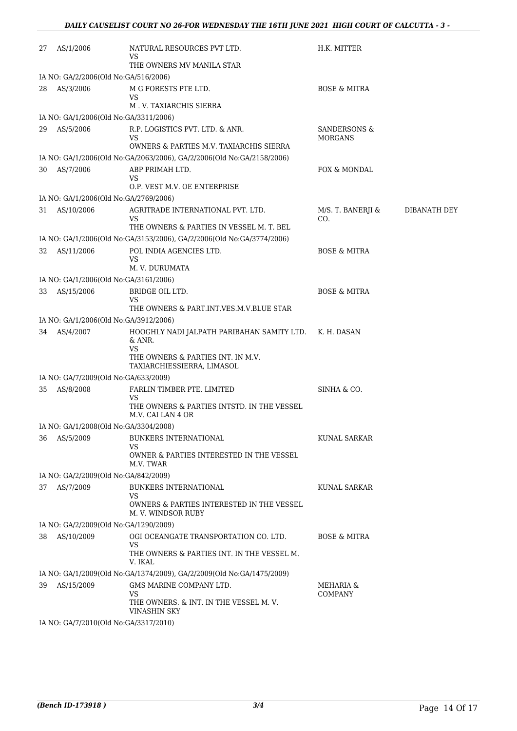| 27 | AS/1/2006                                         | NATURAL RESOURCES PVT LTD.<br>VS                                      | H.K. MITTER                               |              |
|----|---------------------------------------------------|-----------------------------------------------------------------------|-------------------------------------------|--------------|
|    |                                                   | THE OWNERS MV MANILA STAR                                             |                                           |              |
| 28 | IA NO: GA/2/2006(Old No:GA/516/2006)<br>AS/3/2006 | M G FORESTS PTE LTD.                                                  | <b>BOSE &amp; MITRA</b>                   |              |
|    |                                                   | VS                                                                    |                                           |              |
|    |                                                   | M.V. TAXIARCHIS SIERRA                                                |                                           |              |
|    | IA NO: GA/1/2006(Old No:GA/3311/2006)             |                                                                       |                                           |              |
| 29 | AS/5/2006                                         | R.P. LOGISTICS PVT. LTD. & ANR.<br>VS                                 | <b>SANDERSONS &amp;</b><br><b>MORGANS</b> |              |
|    |                                                   | OWNERS & PARTIES M.V. TAXIARCHIS SIERRA                               |                                           |              |
|    |                                                   | IA NO: GA/1/2006(Old No:GA/2063/2006), GA/2/2006(Old No:GA/2158/2006) |                                           |              |
| 30 | AS/7/2006                                         | ABP PRIMAH LTD.                                                       | FOX & MONDAL                              |              |
|    |                                                   | VS<br>O.P. VEST M.V. OE ENTERPRISE                                    |                                           |              |
|    | IA NO: GA/1/2006(Old No:GA/2769/2006)             |                                                                       |                                           |              |
| 31 | AS/10/2006                                        | AGRITRADE INTERNATIONAL PVT. LTD.                                     | M/S. T. BANERJI &                         | DIBANATH DEY |
|    |                                                   | VS                                                                    | CO.                                       |              |
|    |                                                   | THE OWNERS & PARTIES IN VESSEL M. T. BEL                              |                                           |              |
|    |                                                   | IA NO: GA/1/2006(Old No:GA/3153/2006), GA/2/2006(Old No:GA/3774/2006) |                                           |              |
| 32 | AS/11/2006                                        | POL INDIA AGENCIES LTD.<br>VS                                         | <b>BOSE &amp; MITRA</b>                   |              |
|    |                                                   | M. V. DURUMATA                                                        |                                           |              |
|    | IA NO: GA/1/2006(Old No:GA/3161/2006)             |                                                                       |                                           |              |
| 33 | AS/15/2006                                        | BRIDGE OIL LTD.                                                       | <b>BOSE &amp; MITRA</b>                   |              |
|    |                                                   | VS<br>THE OWNERS & PART.INT.VES.M.V.BLUE STAR                         |                                           |              |
|    | IA NO: GA/1/2006(Old No:GA/3912/2006)             |                                                                       |                                           |              |
| 34 | AS/4/2007                                         | HOOGHLY NADI JALPATH PARIBAHAN SAMITY LTD. K. H. DASAN                |                                           |              |
|    |                                                   | & ANR.                                                                |                                           |              |
|    |                                                   | VS<br>THE OWNERS & PARTIES INT. IN M.V.                               |                                           |              |
|    |                                                   | TAXIARCHIESSIERRA, LIMASOL                                            |                                           |              |
|    | IA NO: GA/7/2009(Old No:GA/633/2009)              |                                                                       |                                           |              |
| 35 | AS/8/2008                                         | FARLIN TIMBER PTE. LIMITED                                            | SINHA & CO.                               |              |
|    |                                                   | VS<br>THE OWNERS & PARTIES INTSTD. IN THE VESSEL<br>M.V. CAI LAN 4 OR |                                           |              |
|    | IA NO: GA/1/2008(Old No:GA/3304/2008)             |                                                                       |                                           |              |
| 36 | AS/5/2009                                         | <b>BUNKERS INTERNATIONAL</b>                                          | <b>KUNAL SARKAR</b>                       |              |
|    |                                                   | VS                                                                    |                                           |              |
|    |                                                   | OWNER & PARTIES INTERESTED IN THE VESSEL<br>M.V. TWAR                 |                                           |              |
|    | IA NO: GA/2/2009(Old No:GA/842/2009)              |                                                                       |                                           |              |
| 37 | AS/7/2009                                         | <b>BUNKERS INTERNATIONAL</b>                                          | KUNAL SARKAR                              |              |
|    |                                                   | VS                                                                    |                                           |              |
|    |                                                   | OWNERS & PARTIES INTERESTED IN THE VESSEL<br>M.V. WINDSOR RUBY        |                                           |              |
|    | IA NO: GA/2/2009(Old No:GA/1290/2009)             |                                                                       |                                           |              |
| 38 | AS/10/2009                                        | OGI OCEANGATE TRANSPORTATION CO. LTD.                                 | <b>BOSE &amp; MITRA</b>                   |              |
|    |                                                   | <b>VS</b><br>THE OWNERS & PARTIES INT. IN THE VESSEL M.               |                                           |              |
|    |                                                   | V. IKAL                                                               |                                           |              |
|    |                                                   | IA NO: GA/1/2009(Old No:GA/1374/2009), GA/2/2009(Old No:GA/1475/2009) |                                           |              |
| 39 | AS/15/2009                                        | GMS MARINE COMPANY LTD.                                               | MEHARIA &                                 |              |
|    |                                                   | VS<br>THE OWNERS. & INT. IN THE VESSEL M.V.                           | <b>COMPANY</b>                            |              |
|    |                                                   | VINASHIN SKY                                                          |                                           |              |
|    | IA NO: GA/7/2010(Old No:GA/3317/2010)             |                                                                       |                                           |              |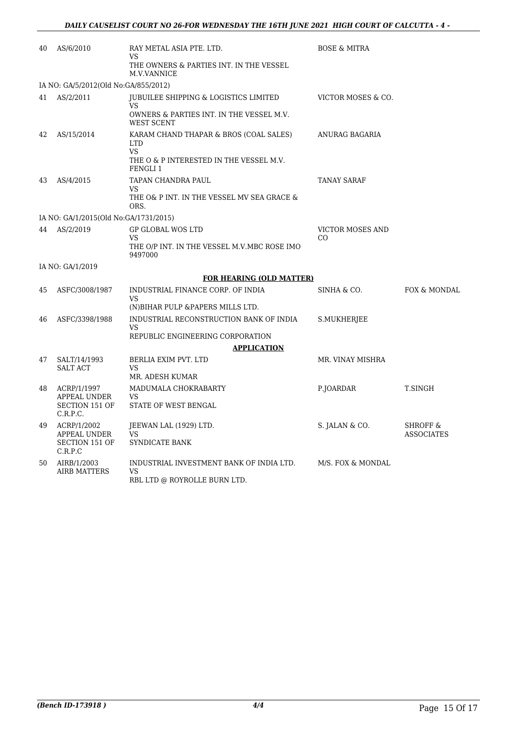| 40 | AS/6/2010                             | RAY METAL ASIA PTE. LTD.<br>VS                                                 | <b>BOSE &amp; MITRA</b>        |                                          |
|----|---------------------------------------|--------------------------------------------------------------------------------|--------------------------------|------------------------------------------|
|    |                                       | THE OWNERS & PARTIES INT. IN THE VESSEL<br>M.V.VANNICE                         |                                |                                          |
|    | IA NO: GA/5/2012(Old No:GA/855/2012)  |                                                                                |                                |                                          |
| 41 | AS/2/2011                             | JUBUILEE SHIPPING & LOGISTICS LIMITED<br>VS                                    | VICTOR MOSES & CO.             |                                          |
|    |                                       | OWNERS & PARTIES INT. IN THE VESSEL M.V.<br><b>WEST SCENT</b>                  |                                |                                          |
| 42 | AS/15/2014                            | KARAM CHAND THAPAR & BROS (COAL SALES)<br><b>LTD</b><br><b>VS</b>              | ANURAG BAGARIA                 |                                          |
|    |                                       | THE O & P INTERESTED IN THE VESSEL M.V.<br>FENGLI 1                            |                                |                                          |
| 43 | AS/4/2015                             | TAPAN CHANDRA PAUL<br>VS.                                                      | TANAY SARAF                    |                                          |
|    |                                       | THE O& P INT. IN THE VESSEL MV SEA GRACE &<br>ORS.                             |                                |                                          |
|    | IA NO: GA/1/2015(Old No:GA/1731/2015) |                                                                                |                                |                                          |
| 44 | AS/2/2019                             | <b>GP GLOBAL WOS LTD</b><br>VS                                                 | <b>VICTOR MOSES AND</b><br>CO. |                                          |
|    |                                       | THE O/P INT. IN THE VESSEL M.V.MBC ROSE IMO<br>9497000                         |                                |                                          |
|    | IA NO: GA/1/2019                      |                                                                                |                                |                                          |
|    |                                       | <b>FOR HEARING (OLD MATTER)</b>                                                |                                |                                          |
| 45 | ASFC/3008/1987                        | INDUSTRIAL FINANCE CORP. OF INDIA<br>VS                                        | SINHA & CO.                    | FOX & MONDAL                             |
|    |                                       | (N) BIHAR PULP & PAPERS MILLS LTD.                                             |                                |                                          |
| 46 | ASFC/3398/1988                        | INDUSTRIAL RECONSTRUCTION BANK OF INDIA<br><b>VS</b>                           | S.MUKHERJEE                    |                                          |
|    |                                       | REPUBLIC ENGINEERING CORPORATION                                               |                                |                                          |
|    |                                       | <b>APPLICATION</b>                                                             |                                |                                          |
| 47 | SALT/14/1993<br><b>SALT ACT</b>       | BERLIA EXIM PVT. LTD<br>VS.                                                    | MR. VINAY MISHRA               |                                          |
|    |                                       | MR. ADESH KUMAR                                                                |                                |                                          |
| 48 | ACRP/1/1997<br>APPEAL UNDER           | MADUMALA CHOKRABARTY<br>VS                                                     | P.JOARDAR                      | T.SINGH                                  |
|    | <b>SECTION 151 OF</b><br>C.R.P.C.     | STATE OF WEST BENGAL                                                           |                                |                                          |
| 49 | ACRP/1/2002<br>APPEAL UNDER           | JEEWAN LAL (1929) LTD.<br>VS                                                   | S. JALAN & CO.                 | <b>SHROFF &amp;</b><br><b>ASSOCIATES</b> |
|    | <b>SECTION 151 OF</b><br>C.R.P.C      | SYNDICATE BANK                                                                 |                                |                                          |
| 50 | AIRB/1/2003<br><b>AIRB MATTERS</b>    | INDUSTRIAL INVESTMENT BANK OF INDIA LTD.<br>VS<br>RBL LTD @ ROYROLLE BURN LTD. | M/S. FOX & MONDAL              |                                          |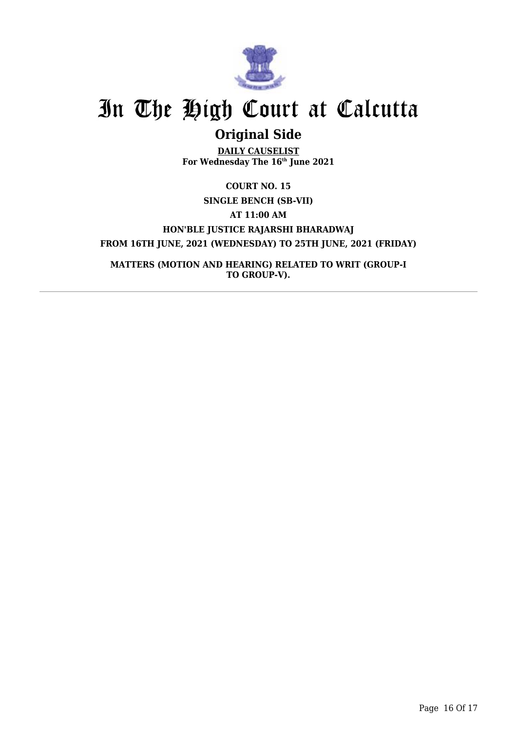

## **Original Side**

**DAILY CAUSELIST For Wednesday The 16th June 2021**

**COURT NO. 15 SINGLE BENCH (SB-VII) AT 11:00 AM HON'BLE JUSTICE RAJARSHI BHARADWAJ FROM 16TH JUNE, 2021 (WEDNESDAY) TO 25TH JUNE, 2021 (FRIDAY)**

**MATTERS (MOTION AND HEARING) RELATED TO WRIT (GROUP-I TO GROUP-V).**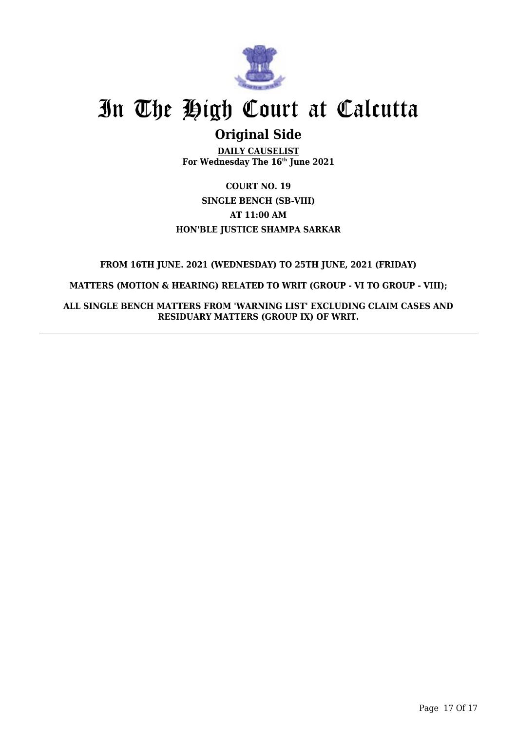

## **Original Side**

**DAILY CAUSELIST For Wednesday The 16th June 2021**

**COURT NO. 19 SINGLE BENCH (SB-VIII) AT 11:00 AM HON'BLE JUSTICE SHAMPA SARKAR**

### **FROM 16TH JUNE. 2021 (WEDNESDAY) TO 25TH JUNE, 2021 (FRIDAY)**

**MATTERS (MOTION & HEARING) RELATED TO WRIT (GROUP - VI TO GROUP - VIII);**

**ALL SINGLE BENCH MATTERS FROM 'WARNING LIST' EXCLUDING CLAIM CASES AND RESIDUARY MATTERS (GROUP IX) OF WRIT.**